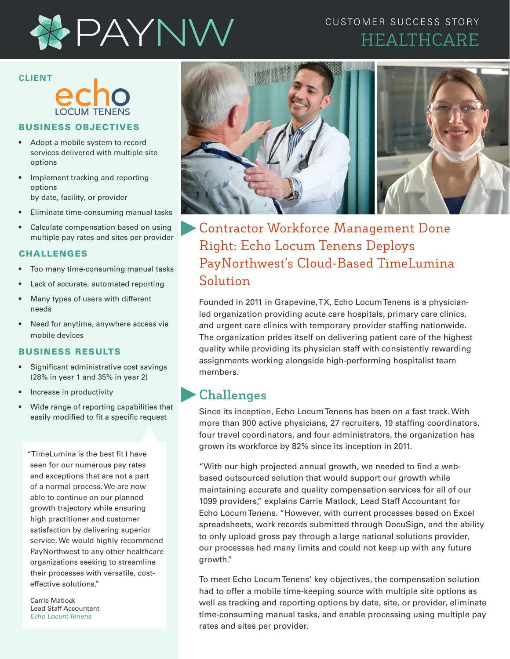

## CUSTOMER SUCCESS STORY HEALTHCARE

# **CLIENT**

#### BUSINESS OBJECTIVES

- Adopt a mobile system to record services delivered with multiple site options
- Implement tracking and reporting options by date, facility, or provider
- Eliminate time-consuming manual tasks
- Calculate compensation based on using multiple pay rates and sites per provider

#### CHALLENGES

- Too many time-consuming manual tasks
- Lack of accurate, automated reporting
- Many types of users with different needs
- Need for anytime, anywhere access via mobile devices

#### BUSINESS RESULTS

- Significant administrative cost savings (28% in year 1 and 35% in year 2)
- Increase in productivity
- Wide range of reporting capabilities that easily modified to fit a specific request

"TimeLumina is the best fit I have seen for our numerous pay rates and exceptions that are not a part of a normal process. We are now able to continue on our planned growth trajectory while ensuring high practitioner and customer satisfaction by delivering superior service. We would highly recommend PayNorthwest to any other healthcare organizations seeking to streamline their processes with versatile, costeffective solutions."

Carrie Matlock Lead Staff Accountant *Echo Locum Tenens*



Contractor Workforce Management Done Right: Echo Locum Tenens Deploys PayNorthwest's Cloud-Based TimeLumina Solution

Founded in 2011 in Grapevine, TX, Echo Locum Tenens is a physicianled organization providing acute care hospitals, primary care clinics, and urgent care clinics with temporary provider staffing nationwide. The organization prides itself on delivering patient care of the highest quality while providing its physician staff with consistently rewarding assignments working alongside high-performing hospitalist team members.

### **Challenges**

Since its inception, Echo Locum Tenens has been on a fast track. With more than 900 active physicians, 27 recruiters, 19 staffing coordinators, four travel coordinators, and four administrators, the organization has grown its workforce by 82% since its inception in 2011.

"With our high projected annual growth, we needed to find a webbased outsourced solution that would support our growth while maintaining accurate and quality compensation services for all of our 1099 providers," explains Carrie Matlock, Lead Staff Accountant for Echo Locum Tenens. "However, with current processes based on Excel spreadsheets, work records submitted through DocuSign, and the ability to only upload gross pay through a large national solutions provider, our processes had many limits and could not keep up with any future growth."

To meet Echo Locum Tenens' key objectives, the compensation solution had to offer a mobile time-keeping source with multiple site options as well as tracking and reporting options by date, site, or provider, eliminate time-consuming manual tasks, and enable processing using multiple pay rates and sites per provider.